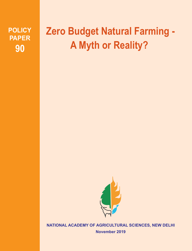**POLICY PAPER 90**

# **Zero Budget Natural Farming - A Myth or Reality?**



**NATIONAL ACADEMY OF AGRICULTURAL SCIENCES, NEW DELHI**

**November 2019**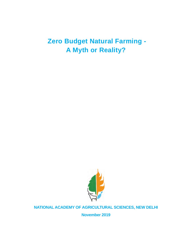# **Zero Budget Natural Farming - A Myth or Reality?**



# **NATIONAL ACADEMY OF AGRICULTURAL SCIENCES, NEW DELHI**

**November 2019**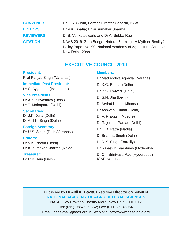| <b>CONVENER</b>  | : Dr H.S. Gupta, Former Director General, BISA                  |
|------------------|-----------------------------------------------------------------|
| <b>EDITORS</b>   | : Dr V.K. Bhatia; Dr Kusumakar Sharma                           |
| <b>REVIEWERS</b> | : Dr B. Venkateswarlu and Dr A. Subba Rao                       |
| <b>CITATION</b>  | NAAS 2019. Zero Budget Natural Farming - A Myth or Reality?     |
|                  | Policy Paper No. 90, National Academy of Agricultural Sciences, |

# **EXECUTIVE COUNCIL 2019**

New Delhi: 20pp.

#### **President:**

Prof Panjab Singh (Varanasi)

## **Immediate Past President:**

Dr S. Ayyappan (Bengaluru)

## **Vice Presidents:**

Dr A.K. Srivastava (Delhi) Dr T. Mohapatra (Delhi)

**Secretaries:** Dr J.K. Jena (Delhi) Dr Anil K. Singh (Delhi)

**Foreign Secretary:** Dr U.S. Singh (Delhi/Varanasi)

**Editors:** Dr V.K. Bhatia (Delhi) Dr Kusumakar Sharma (Noida)

## **Treasurer:**

Dr R.K. Jain (Delhi)

#### **Members:**

Dr Madhoolika Agrawal (Varanasi) Dr K.C. Bansal (Delhi) Dr B.S. Dwivedi (Delhi) Dr S.N. Jha (Delhi) Dr Arvind Kumar (Jhansi) Dr Ashwani Kumar (Delhi) Dr V. Prakash (Mysore) Dr Rajender Parsad (Delhi) Dr D.D. Patra (Nadia) Dr Brahma Singh (Delhi) Dr R.K. Singh (Bareilly) Dr Rajeev K. Varshney (Hyderabad) Dr Ch. Srinivasa Rao (Hyderabad) ICAR Nominee

Published by Dr Anil K. Bawa, Executive Director on behalf of **NATIONAL ACADEMY OF AGRICULTURAL SCIENCES** NASC, Dev Prakash Shastry Marg, New Delhi - 110 012 Tel: (011) 25846051-52; Fax: (011) 25846054 Email: naas-mail@naas.org.in; Web site: http://www.naasindia.org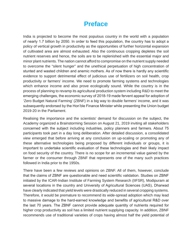# **Preface**

India is projected to become the most populous country in the world with a population of nearly 1.7 billion by 2050. In order to feed this population, the country has to adopt a policy of vertical growth in productivity as the opportunities of further horizontal expansion of cultivated area are almost exhausted. Also the continuous cropping depletes the soil nutrient reserves and hence, the soils are to be replenished with the essential major and minor plant nutrients. The nation cannot afford to compromise on the nutrient supply needed to overcome the "silent hunger" and the unethical perpetuation of high concentration of stunted and wasted children and anemic mothers. As of now there is hardly any scientific evidence to support detrimental effect of judicious use of fertilizers on soil health, crop productivity or farmers' income. We need to promote farming systems and technologies which enhance income and also prove ecologically sound. While the country is in the process of planning to revamp its agricultural production system including R&D to meet the emerging challenges, the economic survey of 2018-19 made fervent appeal for adoption of 'Zero Budget Natural Farming' (ZBNF) in a big way to double farmers' income, and it was subsequently endorsed by the Hon'ble Finance Minister while presenting the Union budget 2019-20 in the Parliament.

Realising the importance and the scientists' demand for discussion on the subject, the Academy organized a Brainstorming Session on August 21, 2019 inviting all stakeholders concerned with the subject including industries, policy planners and farmers. About 75 participants took part in a day long deliberation. After detailed discussion, a consolidated view emerged that before arriving at any conclusion on up-scaling or promoting any of these alternative technologies being proposed by different individuals or groups, it is important to undertake scientific evaluation of these technologies and their likely impact on food security of the country. There is no scope for an incremental value gained by the farmer or the consumer through ZBNF that represents one of the many such practices followed in India prior to the 1950s.

There have been a few reviews and opinions on ZBNF. All of them, however, conclude that the claims of ZBNF are questionable and need scientific validation. Studies on ZBNF initiated by the ICAR-Indian Institute of Farming System Research (IIFSR), Modipuram at several locations in the country and University of Agricultural Sciences (UAS), Dharwad have clearly indicated that yield levels were drastically reduced in several cropping systems. Therefore, it would be premature to recommend its wide-spread adoption which may lead to massive damage to the hard-earned knowledge and benefits of agricultural R&D over the last 70 years. The ZBNF cannot provide adequate quantity of nutrients required for higher crop productivity as soil has a limited nutrient supplying capacity. In addition, ZBNF recommends use of traditional varieties of crops having almost half the yield potential of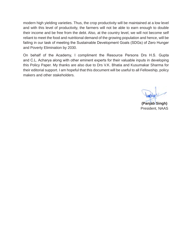modern high yielding varieties. Thus, the crop productivity will be maintained at a low level and with this level of productivity, the farmers will not be able to earn enough to double their income and be free from the debt. Also, at the country level, we will not become self reliant to meet the food and nutritional demand of the growing population and hence, will be failing in our task of meeting the Sustainable Development Goals (SDGs) of Zero Hunger and Poverty Elimination by 2030.

On behalf of the Academy, I compliment the Resource Persons Drs H.S. Gupta and C.L. Acharya along with other eminent experts for their valuable inputs in developing this Policy Paper. My thanks are also due to Drs V.K. Bhatia and Kusumakar Sharma for their editorial support. I am hopeful that this document will be useful to all Fellowship, policy makers and other stakeholders.

**(Panjab Singh)**

President, NAAS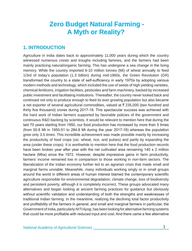# **Zero Budget Natural Farming - A Myth or Reality?**

# **1. INTRODUCTION**

Agriculture in India dates back to approximately 11,000 years during which the country witnessed numerous crests and troughs including famines, and the farmers had been mainly practicing natural/orgainic farming. This has undergone a sea change in the living memory. While the country imported 6-10 million tonnes (Mt) of wheat annually to feed 1/3rd of today's population (1.3 billion) during mid-1960s, the Green Revolution (GR) transformed the country to a state of self-sufficiency in early 1970s by adopting various modern methods and technology, which included the use of seeds of high yielding varieties, chemical fertilizers, irrigation facilities, pesticides and farm machinery, backed by increased public investment and facilitating institutions. Thereafter, the country never looked back and continued not only to produce enough to feed its ever growing population but also became a net exporter of several agricultural commodities, valued at  $\bar{\tau}$  235,000 (two hundred and thirty five thousand) crores during 2017-18. This spectacular success was achieved with the hard work of Indian farmers supported by favorable policies of the government and continuous R&D backing by scientists. It would be relevant to mention here that during the last 70 years starting from 1950, our food production has increased by more than 5 times (from 50.8 Mt in 1950-51 to 284.8 Mt during the year 2017-18) whereas the population grew only 3.5 times. This incredible achievement was made possible mainly by increasing the productivity of food crops (*viz.* wheat, rice, and pulses) and partly by expanding the area (under these crops). It is worthwhile to mention here that the food production records have been broken year after year with the net cultivated area remaining  $140 \pm 2$  million hectare (Mha) since the 1972. However, despite impressive gains in farm productivity, farmers' income remained low in comparison to those working in non-farm sectors. The liberalization of the Indian economy further led to an agrarian crisis that made small and marginal farms unviable. Meanwhile, many individuals working singly or in small groups around the world in different areas of human interest blamed the contemporary scientific agriculture responsible for environmental degradation, climate change, loss of biodiversity and persistent poverty, although it is completely incorrect. These groups advocated many alternatives and began looking at ancient farming practices for guidance but obviously without scientific validation and understanding of both the strengths and weaknesses of traditional Indian farming. In the meantime, realizing the declining total factor productivity and profitability of the farmers in general, and small and marginal farmers in particular, the Government of India, particularly *NITI Ayog,* has been looking for alternative farming systems that could be more profitable with reduced input and cost. And there came a few alternative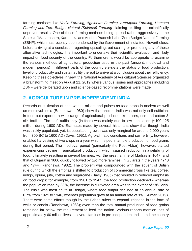farming methods like *Vedic Farming, Agnihotra Farming, Amrutpani Farming, Homoeo*  Farming and Zero Budget Natural (Spiritual) Farming claiming exciting but scientifically unproven results. One of these farming methods being spread rather aggressively in the States of Maharashtra, Karnataka and Andhra Pradesh is the 'Zero Budget Natural Farming (ZBNF), which has recently been endorsed by the Government of India too. Nevertheless, before arriving at a conclusion regarding upscaling, out-scaling or promoting any of these alternative technologies, it is important to undertake their scientific evaluation and likely impact on food security of the country. Furthermore, it would be appropriate to examine the various methods of agricultural production used in the past (ancient, medieval and modern periods) in different parts of the country *vis-a-vis* the status of food production, level of productivity and sustainability thereof to arrive at a conclusion about their efficiency. Keeping these objectives in view, the National Academy of Agricultural Sciences organized a brainstorming meet on August 21, 2019 where various issues and approaches including ZBNF were deliberated upon and science-based recommendations were made.

# **2. AGRICULTURE IN PRE-INDEPENDENT INDIA**

Records of cultivation of rice, wheat, millets and pulses as food crops in ancient as well as medieval India (Randhawa, 1980) show that ancient India was not only self-sufficient in food but exported a wide range of agricultural produces like spices, rice and cotton & silk textiles. The self- sufficiency (in food) was mainly due to low population (~100-125 million during 1600 AD). Estimates made by several historians show that though India was thickly populated; yet, its population growth was only marginal for around 2,000 years from 300 BC to 1600 AD (Davis, 1951). Agro-climatic conditions and soil fertility, however, enabled harvesting of two crops in a year which helped in ample production of food grains during that period. The medieval period (particularly the Post-Akbar), however, started experiencing decline in agricultural production, which caused reduction in availability of food, ultimately resulting in several famines, *viz.* the great famine of Madras in 1647, and that of Gujarat in 1666 quickly followed by two more famines (in Gujarat) in the years 1718 and 1744 (Randhawa, 1982). The problem was compounded with the advent of British rule during which the emphasis shifted to production of commercial crops like tea, coffee, indigo, opium, jute, cotton and sugarcane (Bayly, 1985) that resulted in reduced emphasis on food crops; for example, from 1901 to 1947, the food production declined - whereas the population rose by 38%, the increase in cultivated area was to the extent of 18% only. The crisis was most acute in Bengal, where food output declined at an annual rate of 0.7% from 1921 to 1946, whereas population grew at an annual rate of 1% (Kumar, 2019). There were some efforts though by the British rulers to expand irrigation in the form of wells or canals (Randhawa, 1983); even then the total annual production of food grains remained far below the requirement to feed the nation. Various reports mention loss of approximately 60 million lives in several famines in pre-independent India, and the country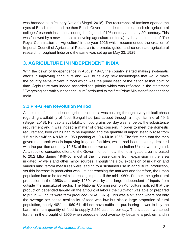was branded as a 'Hungry Nation' (Siegel, 2018). The recurrence of famines opened the eyes of British rulers and the then British Government decided to establish six agricultural colleges/research institutions during the fag end of  $19<sup>th</sup>$  century and early  $20<sup>th</sup>$  century. This was followed by a new impulse to develop agriculture (in India) by the appointment of 'The Royal Commission on Agriculture' in the year 1926 which recommended the creation of Imperial Council of Agricultural Research to promote, guide, and co-ordinate agricultural research throughout India and the same was set up on May 23, 1929.

# **3. AGRICULTURE IN INDEPENDENT INDIA**

With the dawn of Independence in August 1947, the country started making systematic efforts in improving agriculture and R&D to develop new technologies that would make the country self-sufficient in food which was the prime need of the nation at that point of time. Agriculture was indeed accorded top priority which was reflected in the statement "Everything can wait but not agriculture" attributed to the first Prime Minister of Independent India.

# **3.1 Pre-Green Revolution Period**

At the time of Independence, agriculture in India was passing through a very difficult phase regarding availability of food. Bengal had just passed through a major famine of 1943 (Siegel, 2018). Per capita availability of food grains per day was far below the subsistence requirement and it was indeed a matter of great concern. In order to meet the domestic requirement, food grains had to be imported and the quantity of import steadily rose from 1.5 Mt in 1946 to 4.8 Mt in 1950 peaking at 10.4 Mt in 1966. The first step that the then government took was in improving irrigation facilities, which had been severely depleted with the partition and only 19.7% of the net sown area, in the Indian Union, was irrigated. As a result of concerted efforts of the Government of India, the net irrigated area increased to 20.2 Mha during 1949-50; most of the increase came from expansion in the area irrigated by wells and other minor sources. Though the slow expansion of irrigation and various land reform measures were leading to a sustained rise in agricultural production, yet this increase in production was just not reaching the markets and therefore, the urban population had to be fed with increasing imports till the mid-1960s. Further, the agricultural production in the 1950s and early 1960s was by and large independent of inputs from outside the agricultural sector. The National Commission on Agriculture noticed that the production depended largely on the amount of labour the cultivator was able or prepared to put in. All inputs were farm produced (NCA, 1976). This was a situation where not only the average per capita availability of food was low but also a large proportion of rural population, nearly 40% in 1960-61, did not have sufficient purchasing power to buy the bare minimum quantity of food to supply 2,250 calories per day. The situation worsened further in the drought of 1965 when adequate food availability became a problem and in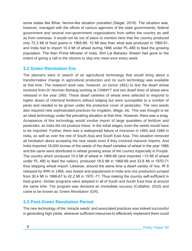some states like Bihar, famine-like situation prevailed (Siegel, 2018). The situation was, however, managed with the efforts of various agencies of the state governments, federal government and several non-government organizations from within the country as well as from overseas. It would not be out of place to mention here that the country produced only 72.3 Mt of food grains in 1965-66, 10 Mt less than what was produced in 1960-61, and India had to import 10.4 Mt of wheat during 1966 under PL-480 to feed the growing population. The then Prime Minister of India, Shri Lal Bahadur Shastri had gone to the extent of giving a call to the citizens to skip one meal once every week.

## **3.2 Green Revolution Era**

The planners were in search of an agricultural technology that would bring about a transformative change in agricultural production and no such technology was available at that time. The research work was, however, on (since 1961) to test the dwarf wheat received from Dr Norman Borlaug working at CIMMYT and two dwarf lines of wheat were released in the year 1965. These dwarf varieties of wheat were selected to respond to higher doses of chemical fertilizers without lodging but were susceptible to a number of pests and needed to be grown under the protective cover of pesticides. The new seeds also required new sophisticated practices for irrigation, tillage, *etc.* This was thought to be an ideal technology under the prevailing situation at that time. However, there was a snag. Acceptance of this technology would involve import of large quantities of fertilizer and pesticides, as India did not produce these. In the initial stages, even the seeds would have to be imported. Further, there was a widespread failure of monsoon in 1965 and 1966 in India, as well as over the rest of South Asia and South East Asia. This situation removed all hesitation about accepting the new seeds even if they involved massive imports. And India imported 18,000 tonnes of the seeds of the dwarf varieties of wheat in the year 1966 and the same were distributed in wheat growing areas of the country especially in Punjab. The country which produced 10.4 Mt of wheat in 1965-66 (and imported ~10 Mt of wheat under PL 480 to feed the nation), produced 18.6 Mt in 1968-69 and 23.8 Mt in 1970-71 thus stopping wheat import. Likewise, around the same time a dwarf variety of rice, IR 8 released by IRRI in 1966, was tested and popularized in India and rice production jumped from 30.4 Mt in 1966-67 to 42.2 Mt in 1970 -71. Thus making the country self-sufficient in food grains. Similar programs were adopted in all of South and South East Asia at around the same time. The program was declared an immediate success (Cullather, 2010) and came to be known as 'Green Revolution' (GR).

# **3.3 Post-Green Revolution Period**

The new technology of the 'miracle seeds' and associated practices was indeed successful in generating high yields, wherever sufficient resources to effectively implement them could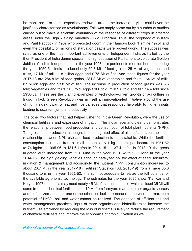be mobilized. For some especially endowed areas, the increase in yield could even be justifiably characterized as revolutionary. This was amply borne out by a number of studies carried out to make a scientific evaluation of the response of different crops in different areas under the High Yielding Varieties (HYV) Program. Thus, the prophecy of William and Paul Paddock in 1967 who predicted doom in their famous book 'Famine 1975!' and even the possibility of millions of starvation deaths were proved wrong. The success was rated as one of the most important achievements of Independent India as hailed by the then President of India during special mid-night session of Parliament to celebrate Golden Jubilee of India's Independence in the year 1997. It is pertinent to mention here that during the year 1950-51, India produced only 50.8 Mt of food grains, 25 Mt of vegetables and fruits, 17 Mt of milk, 1.8 billion eggs and 0.75 Mt of fish. And these figures for the year 2017-18 are 284.8 Mt of food grains, 281.8 Mt of vegetables and fruits, 164 Mt of milk, 87 billion eggs and 13.8 Mt of fish. The increase in production of food grains was 5.6 fold; vegetables and fruits 11.3 fold; eggs >100 fold; milk 9.6 fold and fish 14.4 fold since 1950-51. These are the glaring examples of technology-driven growth of agriculture in India. In fact, Green Revolution was in itself an innovation-led initiative around the use of high yielding dwarf wheat and rice varieties that responded favorably to higher inputs leading to quantum jump in productivity.

The other two factors that had helped ushering in the Green Revolution, were the use of chemical fertilizers and expansion of irrigation. The Indian scenario clearly demonstrates the relationship between food production and consumption of total plant nutrients (NPK). The gross food production, although, is the integrated effect of all the factors but the linear relationship between NPK use and food production is unmistakable. While the fertilizer consumption increased from a small amount of  $<$  1 kg nutrient per hectare in 1951-52 to 74 kg/ha in 1995-96 to 131.6 kg/ha in 2014-15 to 137.4 kg/ha in 2018-19, the gross irrigated area increased from 22.6 Mha in the year 1951-52 to 96.5 Mha in the year 2014-15. The high yielding varieties although catalyzed holistic effect of seed, fertilizers, irrigation & management and accordingly, the nutrient (NPK) consumption increased to about 26.7 Mt in the year 2017-18 (Fertilizer Statistics FAI, 2018-19) from a mere 65.6 thousand tons in the year 1951-52; it is still not adequate to realize the full potential of the available agronomic technology. The estimates for the year 2025 show (Kanwar and Katyal, 1997) that India may need nearly 45 Mt of plant nutrients, of which at least 35 Mt will come from the chemical fertilizers and 10 Mt from farmyard manure, other organic sources and biofertilizers. It is not one or the other but both are needed, otherwise the maximum potential of HYVs, soil and water cannot be realized. The adoption of efficient soil and water management practices, input of more organics and biofertilizers to increase the nutrient use efficiency by reducing the loss of nutrients is likely to reduce the requirement of chemical fertilizers and improve the economics of crop cultivation as well.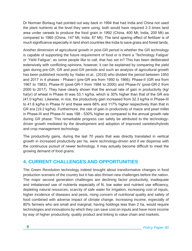Dr Norman Borlaug had pointed out way back in 1994 that had India and China not used the plant nutrients at the level they were using, both would have required 2-3 times land area under cereals to produce the food grain in 1992 (China, 400 Mt; India, 200 Mt) as compared to 1960 (China, 147 Mt; India, 87 Mt). The land sparing effect of fertilizer is of much significance especially in land short countries like India to save grass and forest lands.

Another dimension of agricultural growth in post-GR period is whether the GR technology is capable of supporting the future requirement of food or is there a 'Technology Fatigue' or 'Yield Fatigue', as some people like to call, that has set in? This has been deliberated extensively with conflicting opinions; however, it can be explained by comparing the yield gain during pre-GR, GR and post-GR periods and such an analysis of agricultural growth has been published recently by Yadav *et.al.,* (2019) who divided the period between 1950 and 2017 in 4 phases - Phase-I (pre-GR era from 1950 to 1966); Phase-II (GR era from 1967 to 1983); Phase-III (post-GR-1 from 1984 to 2000) and Phase-IV (post-GR-2 from 2000 to 2017). They have clearly shown that the annual rate of gain in productivity (kg/ ha/yr) of wheat in Phase III was 53.1 kg/ha, which is 30% higher than that of the GR era (41.0 kg/ha). Likewise, in rice, the productivity gain increased from 32.3 kg/ha in Phase-III to 41.6 kg/ha in Phase IV and these were 68% and 117% higher respectively than that in GR era (19.2 kg/ha). Furthermore, the rate of gain in productivity of maize and pearl millet in Phase-III and Phase-IV was 188 - 530% higher as compared to the annual growth rate during GR phase. This remarkable progress can safely be attributed to the technologydriven growth mediated by the development and adoption of improved varieties/hybrids and crop management technology.

The productivity gains, during the last 70 years that was directly translated in vertical growth in increased productivity per ha, were technology-driven and if we dispense with the continuous pursuit of newer technology, it may actually become difficult to meet the growing demand of food grains.

# **4. CURRENT CHALLENGES AND OPPORTUNITIES**

The Green Revolution technology indeed brought about transformative changes in food production scenario of the country but it has also thrown new challenges before the nation. The major second generation challenges are declining factor productivity, inadequate and imbalanced use of nutrients especially of N, low water and nutrient use efficiency, depleting natural resources, scarcity of safe water for irrigation, increasing cost of inputs, higher incidence of diseases and pests, rising concern of nutritional quality and safety of food combined with adverse impact of climate change. Increasing income, especially of 80% farmers who are small and marginal, having holdings less than 2 ha, would require technologies and innovations by which they can save cost on inputs and have more income by way of higher productivity, quality product and linking to value chain and markets.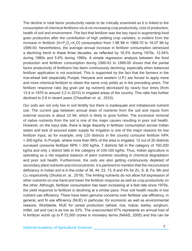The decline in total factor productivity needs to be critically examined as it is linked to the consumption of chemical fertilizers *vis-à-vis* increasing crop productivity, cost of production, health of soil and environment. The fact that fertilizer was the key input in augmenting food grain production after the contribution of high yielding crop varieties, is evident from the increase in fertilizer (N+P<sub>2</sub>O<sub>5</sub>+K<sub>2</sub>O) consumption from 1.98 Mt in 1969-70 to 18.07 Mt by 1999-00. Nevertheless, the average annual increase in fertilizer consumption witnessed a declining trend in these three decades, as reflected by 16.5% during 1970s, 12.04% during 1980s and 5.6% during 1990s. A simple regression analysis between the food production and fertilizer consumption during 1960-61 to 1999-00 shows that the partial factor productivity of fertilizers has been continuously declining, especially when balanced fertilizer application is not practiced. This is supported by the fact that the farmers in the rice-wheat belt (especially Punjab, Haryana and western U.P.) are forced to apply more and more chemical fertilizer to obtain the same crop yields as in the preceding years. The fertilizer response ratio (kg grain per kg nutrient) decreased by nearly four times (from 13.4 in 1970 to around 3.2 in 2010) in irrigated areas of the country. This ratio has further declined to 2.8 in recent years (Chaudhari *et. al.,* 2015).

Our soils are not only low in soil fertility but there is inadequate and imbalanced nutrient use. The current gap between annual drain of nutrients from the soil and inputs from external sources is about 10 Mt, which is likely to grow further. The excessive removal of native nutrients from the soil is one of the major causes resulting in poor soil health. However, on the input side, there is large disparity in fertilizer consumption across Indian states and lack of assured water supply for irrigation is one of the major reasons for low fertilizer input, as for example, only 120 districts in the country consume fertilizer NPK > 200 kg/ha. In Punjab, where more than 98% of the area is irrigated, 12 out of 20 districts surveyed consume fertilizer NPK > 200 kg/ha, 7 districts fall in the category of 150-200 kg/ha and only 1 district falls in the category of 100-150 kg/ha. Thus, Indian agriculture is operating as a net negative balance of plant nutrients resulting in chemical degradation and poor soil health. Furthermore, the soils are also getting continuously depleted of secondary plant nutrients and micronutrients. It is pertinent to mention that the micronutrient deficiency in Indian soil is in the order of 36, 44, 23, 13, 8 and 4% for Zn, S, B, Fe, Mn and Cu respectively (Shukla *et. al.,* 2018). The limiting nutrients do not allow full expression of other nutrients on one hand and lower the fertilizer response as well as crop productivity on the other. Although, fertilizer consumption has been increasing at a fast rate since 1970s, the yield response to fertilizer is declining at a similar pace. Poor soil health results in low nutrient use efficiency. There have been genuine concerns over fertilizer use efficiency, in general, and N use efficiency (NUE) in particular, for economic as well as environmental reasons. Worldwide, NUE for cereal production (wheat, rice, maize, barley, sorghum, millet, oat and rye) is as low as 33%. The unaccounted 67% represents an annual loss of N fertilizer worth up to  $\overline{\xi}$  72,000 crores in monetary terms (NAAS, 2005) and this can be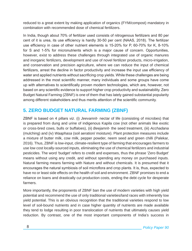reduced to a great extent by making application of organics (FYM/compost) mandatory in combination with recommended dose of chemical fertilizers.

In India, though about 70% of fertilizer used consists of nitrogenous fertilizers and 80 per cent of it is urea, its use efficiency is hardly 30-50 per cent (NAAS, 2018). The fertilizer use efficiency in case of other nutrient elements is 15-20% for P, 60-70% for K, 8-10% for S and 1-5% for micronutrients which is a major cause of concern. Opportunities, however, exist to address these challenges through integrated use of organic manures and inorganic fertilizers, development and use of novel fertilizer products, micro-irrigation, and conservation and precision agriculture, where we can reduce the input of chemical fertilizers, arrest the decline in factor productivity and increase the input use efficiency of water and applied nutrients without sacrificing crop yields. While these challenges are being addressed in the most scientific manner, many individuals and some groups have come up with alternatives to scientifically proven modern technologies, which are, however, not based on any scientific evidence to support higher crop productivity and sustainability. Zero Budget Natural Farming (ZBNF) is one of them that has lately gained substantial popularity among different stakeholders and thus merits attention of the scientific community.

# **5. ZERO BUDGET NATURAL FARMING (ZBNF)**

ZBNF is based on 4 pillars *viz.* (i) *Jeevamrit*- nectar of life (consisting of microbes) that is prepared from dung and urine of indigenous Kapila cow (not other animals like exotic or cross-bred cows, bulls or buffaloes), (ii) *Beejamrit*- the seed treatment, (iii) *Acchadana* (mulching) and (iv) *Waaphasa* (soil aeration/ moisture). Plant protection measures include a mixture of butter milk, cow milk, pepper powder, neem seed and green chilli (Palekar, 2016). Thus, ZBNF is low-input, climate-resilient type of farming that encourages farmers to use low cost locally-sourced inputs, eliminating the use of chemical fertilizers and industrial pesticides. The word 'budget' refers to credit and expenses, thus the phrase 'Zero Budget' means without using any credit, and without spending any money on purchased inputs. Natural farming means farming with Nature and without chemicals. It is presumed that it encourages the natural symbiosis of soil microflora and crop plants. It is, thus, expected to have no or least side effects on the health of soil and environment. ZBNF promises to end a reliance on loans and drastically cut production costs, ending the debt cycle for desperate farmers.

More importantly, the proponents of ZBNF ban the use of modern varieties with high yield potential and recommend the use of only traditional varieties/land races with inherently low yield potential. This is an obvious recognition that the traditional varieties respond to low level of soil-bound nutrients and in case higher quantity of nutrients are made available they tend to lodge resulting in poor translocation of nutrients that ultimately causes yield reduction. By contrast, one of the most important components of India's success in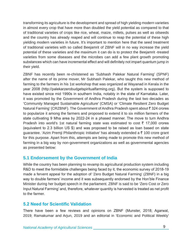transforming its agriculture is the development and spread of high yielding modern varieties in almost every crop that have more than doubled the yield potential as compared to that of traditional varieties of crops like rice, wheat, maize, millets, pulses as well as oilseeds and the country has already reaped and will continue to reap the potential of these high yielding modern varieties in future. It's important to mention here that the seed treatment of traditional varieties with so called Beejamrit of ZBNF will in no way increase the yield potential of these varieties and the maximum it can do is to protect the Beejamrit -treated varieties from some diseases and the microbes can add a few plant growth promoting substances which can have incremental effect and will definitely not impart quantum jump in their yield.

ZBNF has recently been re-christened as 'Subhash Palekar Natural Farming' (SPNF) after the name of its prime mover, Mr Subhash Palekar, who taught this new method of farming to the farmers in his 1st workshop that was organized at Wayanad in Kerala in the year 2008 (http://palekarzerobudgetspiritualfarming.org). But the system is supposed to have existed since mid 1990s in southern India, notably in the state of Karnataka. Later, it was promoted by the Government of Andhra Pradesh during the last two decades as 'Community Managed Sustainable Agriculture' (CMSA) or 'Climate Resilient Zero Budget Natural Farming' (CRZBNF). The Government of Andhra Pradesh spent about  $\bar{z}$  324 crores to popularize it among the farmers and proposed to extend it to six million farmers of the state cultivating 9 Mha area by 2022-24 in a phased manner. The move to turn Andhra Pradesh into world's 1st natural farming state was estimated to cost  $\bar{\tau}$  17,000 crores (equivalent to 2.3 billion US \$) and was proposed to be raised as loan based on state guarantee. 'Azim Premji Philanthropic Initiative' has already extended a  $\bar{\tau}$  100 crore grant for this purpose. Apart from this, attempts are being made to promote this new method of farming in a big way by non-government organizations as well as governmental agencies as presented below:

# **5.1 Endorsement by the Government of India**

While the country has been planning to revamp its agricultural production system including R&D to meet the formidable challenges being faced by it, the economic survey of 2018-19 made a fervent appeal for the adoption of 'Zero Budget Natural Farming' (ZBNF) in a big way to double farmers' income and it was subsequently endorsed by the Hon'ble Finance Minister during her budget speech in the parliament. ZBNF is said to be 'Zero Cost or Zero Input Natural Farming' and, therefore, whatever quantity is harvested is treated as net profit to the farmer.

# **5.2 Need for Scientific Validation**

There have been a few reviews and opinions on ZBNF (Munster, 2018; Agarwal, 2019; Ramakumar and Arjun, 2019 and an editorial in 'Economic and Political Weekly'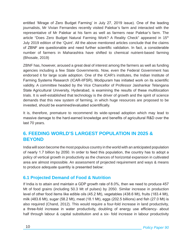entitled 'Mirage of Zero Budget Farming' in July 27, 2019 issue). One of the leading journalists, Mr Vivian Fernandes recently visited Palekar's farm and interacted with the representative of Mr Palekar at his farm as well as farmers near Palekar's farm. The article "Does Zero Budget Natural Farming Work? A Reality Check" appeared in 15<sup>th</sup> July 2019 edition of the 'Quint'. All the above mentioned articles conclude that the claims of ZBNF are questionable and need further scientific validation. In fact, a considerable number of farmers in Maharashtra have shifted to chemical nutrient-based farming (Bhosale, 2019)

ZBNF has, however, aroused a great deal of interest among the farmers as well as funding agencies including a few State Governments. Now, even the Federal Government has endorsed it for large scale adoption. One of the ICAR's institutes, the Indian Institute of Farming Systems Research (ICAR-IIFSR), Modipuram has initiated work on its scientific validity. A committee headed by the Vice Chancellor of Professor Jaishankar Telangana State Agricultural University, Hyderabad, is examining the results of these multilocation trials. It is well-established that technology is the driver of growth and the spirit of science demands that this new system of farming, in which huge resources are proposed to be invested, should be examined/evaluated scientifically.

It is, therefore, premature to recommend its wide-spread adoption which may lead to massive damage to the hard-earned knowledge and benefits of agricultural R&D over the last 70 years.

# **6. FEEDING WORLD'S LARGEST POPULATION IN 2025 & BEYOND**

India will soon become the most populous country in the world with an anticipated population of nearly 1.7 billion by 2050. In order to feed this population, the country has to adopt a policy of vertical growth in productivity as the chances of horizontal expansion in cultivated area are almost impossible. An assessment of projected requirement and ways & means to produce adequate quantity is presented below:

# **6.1 Projected Demand of Food & Nutrition**

If India is to attain and maintain a GDP growth rate of 8.0%, then we need to produce 457 Mt of food grains (including 50.3 Mt of pulses) by 2050. Similar increase in production level of other food items like edible oils (45.2 Mt), vegetables (438.6 Mt), fruits (183.4 Mt), milk (483.6 Mt), sugar (58.2 Mt), meat (18.1 Mt), eggs (202.5 billions) and fish (27.0 Mt) is also required (Chand, 2012). This would require a four-fold increase in land productivity, a three-fold increase in water productivity, doubling of energy use efficiency- about half through labour & capital substitution and a six- fold increase in labour productivity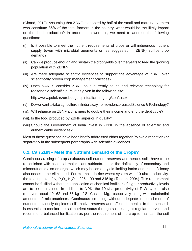(Chand, 2012). Assuming that ZBNF is adopted by half of the small and marginal farmers who constitute 86% of the total farmers in the country, what would be the likely impact on the food production? In order to answer this, we need to address the following questions:

- (i). Is it possible to meet the nutrient requirements of crops or will indigenous nutrient supply (even with microbial augmentation as suggested in ZBNF) suffice crop demand?
- (ii). Can we produce enough and sustain the crop yields over the years to feed the growing population with ZBNF?
- (iii) Are there adequate scientific evidences to support the advantage of ZBNF over scientifically proven crop management practices?
- (iv). Does NARES consider ZBNF as a currently sound and relevant technology for reasonable scientific pursuit as given in the following site;

http://www.palekarzerobudgetspiritualfarming.org/zbnf.aspx

- (v). Do we want to take agriculture in India away from evidence-based Science & Technology?
- (vi). Will reliance on ZBNF aid farmers to double their income and end the debt cycle?
- (vii). Is the food produced by ZBNF superior in quality?
- (viii).Should the Government of India invest in ZBNF in the absence of scientific and authenticable evidences?

Most of these questions have been briefly addressed either together (to avoid repetition) or separately in the subsequent paragraphs with scientific evidences.

## **6.2. Can ZBNF Meet the Nutrient Demand of the Crops?**

Continuous raising of crops exhausts soil nutrient reserves and hence, soils have to be replenished with essential major plant nutrients. Later, the deficiency of secondary and micronutrients also emerges which may become a yield limiting factor and this deficiency also needs to be eliminated. For example, in rice-wheat system with 10 t/ha productivity, the total uptake of N,  $P_2O_5$ , K<sub>2</sub>O is 225, 100 and 315 kg (Tandon, 2004). This requirement cannot be fulfilled without the application of chemical fertilizers if higher productivity levels are to be maintained. In addition to NPK, the 10 t/ha productivity of R-W system also removes about 40, 62 and 38 kg of S, Ca and Mg, respectively along with substantial amounts of micronutrients. Continuous cropping without adequate replenishment of nutrients obviously depletes soil's native reserves and affects its health. In that sense, it is essential to monitor the soil nutrient status through soil testing at regular intervals and recommend balanced fertilization as per the requirement of the crop to maintain the soil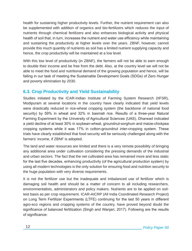health for sustaining higher productivity levels. Further, the nutrient requirement can also be supplemented with addition of organics and bio-fertilizers which reduces the input of nutrients through chemical fertilizers and also enhances biological activity and physical health of soil that, in turn, increases the nutrient and water use efficiency while maintaining and sustaining the productivity at higher levels over the years. ZBNF, however, cannot provide this much quantity of nutrients as soil has a limited nutrient supplying capacity and hence, the crop productivity will be maintained at a low level.

With this low level of productivity (in ZBNF), the farmers will not be able to earn enough to double their income and be free from the debt. Also, at the country level we will not be able to meet the food and nutritional demand of the growing population and hence, will be failing in our task of meeting the Sustainable Development Goals (SDGs) of Zero Hunger and poverty elimination by 2030.

# **6.3. Crop Productivity and Yield Sustainability**

Studies initiated by the ICAR-Indian Institute of Farming System Research (IIFSR), Modipuram at several locations in the country have clearly indicated that yield levels were drastically reduced in rice-wheat cropping system (the backbone of national food security) by 59% in wheat and 32% in basmati rice. Results of a three-year Natural Farming Experiment by the University of Agricultural Sciences (UAS), Dharwad indicated a yield decline of at least 30% in soybean-wheat, groundnut-sorghum and maize-chickpea cropping systems while it was 17% in cotton-groundnut inter-cropping system. These trials have clearly established that food security will be seriously challenged along with the farmers' income, if ZBNF is adopted.

The land and water resources are limited and there is a very remote possibility of bringing any additional area under cultivation considering the pressing demands of the industrial and urban sectors. The fact that the net cultivated area has remained more and less static for the last five decades, enhancing productivity (of the agricultural production system) by using all modern technologies is the only solution for ensuring food and nutrition security to the huge population with very diverse requirements.

It is not the fertilizer use but the inadequate and imbalanced use of fertilizer which is damaging soil health and should be a matter of concern to all including researchers, environmentalists, administrators and policy makers. Nutrients are to be applied on soiltest basis as per crop requirement. ICAR-AICRP (All India Coordinated Research Project) on Long Term Fertilizer Experiments (LTFE) continuing for the last 50 years in different agro-eco regions and cropping systems of the country, have proved beyond doubt the significance of balanced fertilization (Singh and Wanjari, 2017). Following are the results of significance: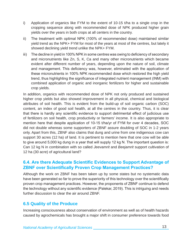- i) Application of organics like FYM to the extent of 10-15 t/ha to a single crop in the cropping sequence along with recommended dose of NPK produced higher grain yields over the years in both crops at all centers in the country.
- ii) The treatment with optimal NPK (100% of recommended dose) maintained similar yield trend as the NPK+ FYM for most of the years at most of the centres, but lately it showed declining yield trend unlike the NPK+ FYM.
- iii) The decline in yield in 100% NPK in some centres was owing to deficiency of secondary and micronutrients like Zn, S, K, Ca and many other micronutrients which became evident after different number of years, depending upon the nature of soil, climate and management. This deficiency was, however, eliminated with the application of these micronutrients in 100% NPK recommended dose which restored the high yield trend, thus highlighting the significance of integrated nutrient management (INM) with combined application of organic and inorganic fertilizers for higher and sustainable crop yields.

In addition, organics with recommended dose of NPK not only produced and sustained higher crop yields but also showed improvement in all physical, chemical and biological attributes of soil health. This is evident from the build-up of soil organic carbon (SOC) content, an index of good soil health, at all the centres in the country. Thus, it is clear that there is hardly any scientific evidence to support detrimental effect of judicious use of fertilizers on soil health, crop productivity or farmers' income. It is also appropriate to mention here that despite application of 10-15 t/ha/yr of FYM for over 4 decades, SOC did not double whereas some supporters of ZBNF assure doubling of SOC in 1-2 years only. Apart from this, ZBNF also claims that dung and urine from one indigenous cow can support 30 acres (12 ha) of land. It is pertinent to mention here that one cow will be able to give around 5,000 kg dung in a year that will supply 12 kg N. The important question is: Can 12 kg N in combination with so called *Jeevamrit* and *Beejamrit* support cultivation of 12 ha (30 acre) of agricultural land?

# **6.4. Are there Adequate Scientific Evidences to Support Advantage of ZBNF over Scientifically Proven Crop Management Practices?**

Although the work on ZBNF has been taken up by some states but no systematic data have been generated so far to prove the superiority of this technology over the scientifically proven crop management practices. However, the proponents of ZBNF continue to defend the technology without any scientific evidence (Palekar, 2019). This is intriguing and needs further discussion to clear the air around ZBNF.

# **6.5 Quality of the Produce**

Increasing consciousness about conservation of environment as well as of health hazards caused by agrochemicals has brought a major shift in consumer preference towards food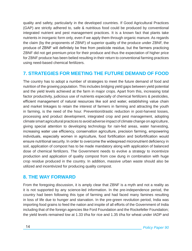quality and safety, particularly in the developed countries. If Good Agricultural Practices (GAP) are strictly adhered to, safe & nutritious food could be produced by conventional integrated nutrient and pest management practices. It is a known fact that plants take nutrients in inorganic form only, even if we apply them through organic manure. As regards the claim (by the proponents of ZBNF) of superior quality of the produce under ZBNF, the produce of ZBNF will definitely be free from pesticide residue, but the farmers practicing ZBNF did not get premium price for their produce and thus the expectation of higher price for ZBNF produce has been belied resulting in their return to conventional farming practices using need-based chemical fertilizers.

# **7. STRATEGIES FOR MEETING THE FUTURE DEMAND OF FOOD**

The country has to adopt a number of strategies to meet the future demand of food and nutrition of the growing population. This includes bridging yield gaps between yield potential and the yield levels achieved at the farm in major crops. Apart from this, increasing total factor productivity, judicious use of nutrients especially of chemical fertilizers & pesticides, efficient management of natural resources like soil and water, establishing value chain and market linkages to retain the interest of farmers in farming and attracting the youth in farming, is the need of the hour. Prevention/drastic reduction in post-harvest losses, processing and product development, integrated crop and pest management, adopting climate smart agricultural practices to avoid adverse impact of climate change on agriculture, giving special attention to developing technology for rain-fed areas, water harvesting, increasing water use efficiency, conservation agriculture, precision farming, empowering individuals, especially women in agriculture, food fortification and biofortification would ensure nutritional security. In order to overcome the widespread micronutrient deficiency in soil, application of compost has to be made mandatory along with application of balanced dose of chemical fertilizers. The Government needs to evolve a strategy to incentivize production and application of quality compost from cow dung in combination with huge crop residue produced in the country. In addition, massive urban waste should also be utilized and incentivized for producing quality compost.

# **8. THE WAY FORWARD**

From the foregoing discussion, it is amply clear that ZBNF is a myth and not a reality as it is not supported by any science-led information. In the pre-independence period, the country had been following this type of farming and had faced many famines resulting in loss of life due to hunger and starvation. In the pre-green revolution period, India was importing food grains to feed the nation and inspite of all efforts of the Government of India including that of the foreign agencies like Ford Foundation and the Rockefeller Foundation; the yield levels remained low at 1.33 t/ha for rice and 1.35 t/ha for wheat under IADP and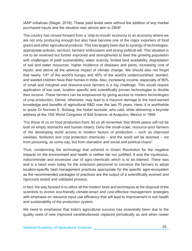IAAP initiatives (Siegel, 2018). These yield levels were without the addition of any market purchased inputs and the situation was almost akin to ZBNF.

The country has moved forward from a 'ship-to-mouth' economy to an economy where we are not only producing enough but also have become one of the major exporters of food grains and other agricultural products. This has largely been due to synergy of technologies, appropriate policies, services, farmers' enthusiasm and strong political will. This situation is not to be reversed but further improved and strengthened to feed the growing population with challenges of yield sustainability, water scarcity, limited land availability, degradation of soil and water resources, higher incidence of diseases and pests, increasing cost of inputs, and above all the adverse impact of climate change. We should also not forget that nearly  $1/4$ <sup>th</sup> of the world's hungry and  $40\%$  of the world's undernourished, stunted, and wasted children have their homes in India. Also, increasing income, especially of 80% of small and marginal and resource-poor farmers is a big challenge. This would require application of low cost, location specific and scientifically proven technologies to double their income. These farmers can be empowered by giving access to modern technologies of crop production. Denial, otherwise, may lead to a massive damage to the hard-earned knowledge and benefits of agricultural R&D over the last 70 years. Here, it is worthwhile to quote Dr Norman E. Borlaug, the Nobel laureate, who said, while delivering a keynote address at the 15th World Congress of Soil Science, at Acapulco, Mexico in 1994:

"For those of us on food production front, let us all remember that World peace will not be built on empty stomachs and human misery. Deny the small-scale, resource-poor farmers of the developing world access to modern factors of production – such as improved varieties, fertilizers and crop protection chemicals – and the world will be doomed – not from poisoning, as some say, but from starvation and social and political chaos".

Thus, condemning the technology that ushered in Green Revolution for the negative impacts on the environment and health is neither fair nor justified. It was the injudicious, indiscriminate and excessive use of agro-chemicals which is to be blamed. There was and is a need even today for the extension personnel to convince the farmers to adopt location-specific best management practices appropriate for the specific agro-ecosystem as the recommended packages of practices are the output of a scientifically evolved and rigorously tested and validated process.

In fact, the way forward is to utilize all the modern tools and techniques at the disposal of the scientists to evolve eco-friendly climate-smart and cost-effective management strategies with emphasis on resource input use efficiency that will lead to improvement in soil health and sustainability of the production system.

We need to emphasise that India's agricultural success has essentially been due to the quality seed of new improved varieties/breeds replaced periodically as and when newer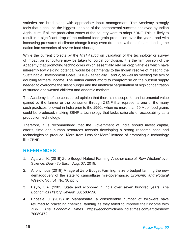varieties are bred along with appropriate input management. The Academy strongly feels that it shall be the biggest undoing of the phenomenal success achieved by Indian Agriculture, if all the production zones of the country were to adopt ZBNF. This is likely to result in a significant drop of the national food grain production over the years, and with increasing pressures of climate change it may even drop below the half mark, landing the nation into scenarios of severe food shortages.

While the current projects by the *NITI Aayog* on validation of the technology or survey of impact on agriculture may be taken to logical conclusion, it is the firm opinion of the Academy that promoting technologies which essentially rely on crop varieties which have inherently low yielding potential would be detrimental to the Indian resolve of meeting the Sustainable Development Goals (SDGs), especially 1 and 2, as well as meeting the aim of doubling farmers' income. The nation cannot afford to compromise on the nutrient supply needed to overcome the silent hunger and the unethical perpetuation of high concentration of stunted and wasted children and anaemic mothers.

The Academy is of the considered opinion that there is no scope for an incremental value gained by the farmer or the consumer through ZBNF that represents one of the many such practices followed in India prior to the 1950s when no more than 50 Mt of food grains could be produced, making ZBNF a technology that lacks rationale or acceptability as a production technology.

Therefore, it is recommended that the Government of India should invest capital, efforts, time and human resources towards developing a strong research base and technologies to produce "More from Less for More" instead of promoting a technology like ZBNF.

# **REFERENCES**

- 1. Agarwal, K. (2019) Zero Budget Natural Farming: Another case of 'Raw Wisdom' over Science. *Down To Earth*. Aug. 07, 2019.
- 2. Anonymous (2019) Mirage of Zero Budget Farming: Is zero budget farming the new demagoguery of the state to camouflage mis-governance. *Economic and Political Weekly*. Vol. 54. No. 30 pp. 8.
- 3. Bayly, C.A. (1985) State and economy in India over seven hundred years. *The Economics History Review*. 38; 583-596.
- 4. Bhosale, J. (2019) In Maharashtra, a considerable number of followers have returned to practicing chemical farming as they failed to improve their income with ZBNF. *The Economic Times*. https://economictimes.indiatimes.com/articleshow/ 70089472.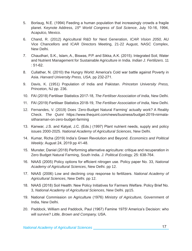- 5. Borlaug, N.E. (1994) Feeding a human population that increasingly crowds a fragile planet. Keynote Address, *15th World Congress of Soil Science*, July 10-16, 1994, Acapulco, Mexico.
- 6. Chand, R. (2012) Agricultural R&D for Next Generation, *ICAR Vision 2050,* AU Vice Chancellors and ICAR Directors Meeting, 21-22 August, NASC Complex, New Delhi.
- 7. Chaudhari, S.K., Islam, A., Biswas, P.P. and Sikka, A.K. (2015). Integrated Soil, Water and Nutrient Management for Sustainable Agriculture in India. *Indian J. Fertilizers*. 11 : 51-62.
- 8. Cullather, N. (2010) the Hungry World: America's Cold war battle against Poverty in Asia. *Harvard University Press, USA,* pp 232-271.
- 9. Davis, K. (1951) Population of India and Pakistan. *Princeton University Press,* Princeton, NJ pp. 236.
- 10. FAI (2018) Fertiliser Statistics 2017-18, *The Fertiliser Association of India*, New Delhi.
- 11. FAI (2019) Fertiliser Statistics 2018-19, *The Fertiliser Association of India*, New Delhi.
- 12. Fernandes, V. (2019) Does 'Zero-Budget Natural Farming' actually work? A Reality Check. *The Quint* https://www.thequint.com/news/business/budget-2019-nirmalasitharaman-on-zero-budget-farming
- 13. Kanwar, J.S. and Katyal, J.C. (Eds.) (1997) Plant nutrient needs, supply and policy issues 2000-2025. *National Academy of Agricultural Sciences*, New Delhi.
- 14. Kumar, Richa (2019) India's Green Revolution and Beyond. *Economics and Political Weekly*. August 24, 2019 pp 41-48.
- 15. Munster, Daniel (2018) Performing alternative agriculture: critique and recuperation in Zero Budget Natural Farming, South India. *J. Political Ecology,* 25: 638-764.
- 16. NAAS (2005) Policy options for efficient nitrogen use. Policy paper No. 33, *National Academy of Agricultural Sciences*, New Delhi. pp 12.
- 17. NAAS (2006) Low and declining crop response to fertilizers. *National Academy of Agricultural Sciences*, New Delhi. pp 12.
- 18. NAAS (2018) Soil Health: New Policy Initiatives for Farmers Welfare. Policy Brief No. 3, *National Academy of Agricultural Sciences*, New Delhi. pp15.
- 19. National Commission on Agriculture (1976) *Ministry of Agriculture,* Government of India, New Delhi.
- 20. Paddock, William and Paddock, Paul (1967) Famine 1975! America's Decision: who will survive? *Little, Brown and Company,* USA.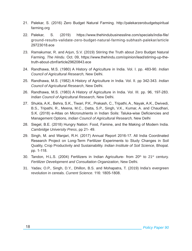- 21. Palekar, S. (2016) Zero Budget Natural Farming. http://palekarzerobudgetspiritual farming.org
- 22. Palekar, S. (2019) https://www.thehindubusinessline.com/specials/india-file/ ground-results-validate-zero-budget-natural-farming-subhash-palekar/article 29723018.ece
- 23. Ramakumar, R. and Arjun, S.V. (2019) Stirring the Truth about Zero Budget Natural Farming. *The Hindu*. Oct. 09, https://www.thehindu.com/opinion/lead/stirring-up-thetruth-about-zbnf/article29620843.ece
- 24. Randhawa, M.S. (1980) A History of Agriculture in India. Vol. I. pp. 483-90. *Indian Council of Agricultural Research,* New Delhi.
- 25. Randhawa, M.S. (1982) A History of Agriculture in India. Vol. II. pp 342-343. *Indian Council of Agricultural Research*, New Delhi.
- 26. Randhawa, M.S. (1983) A History of Agriculture in India. Vol. III. pp. 96, 197-283. *Indian Council of Agricultural Research*, New Delhi.
- 27. Shukla, A.K., Behra, S.K., Tiwari, P.K., Prakash, C., Tripathi, A., Nayak, A.K., Dwivedi, B.S., Tripathi, R., Meena, M.C., Datta, S.P., Singh, V.K., Kumar, A. and Chaudhari, S.K. (2018) e-Atlas on Micronutrients in Indian Soils: Taluka-wise Deficiencies and Management Options, *Indian Council of Agricultural Research,* New Delhi
- 28. Siegel, B.E. (2018) Hungry Nation: Food, Famine, and the Making of Modern India. *Cambridge University Press*, pp 21- 49.
- 29. Singh, M. and Wanjari, R.H. (2017) Annual Report 2016-17. All India Coordinated Research Project on Long-Term Fertilizer Experiments to Study Changes in Soil Quality, Crop Productivity and Sustainability. *Indian Institute of Soil Science*, Bhopal. pp. 1-118.
- 30. Tandon, H.L.S. (2004) Fertilizers in Indian Agriculture- from  $20<sup>th</sup>$  to  $21<sup>st</sup>$  century. *Fertilizer Development and Consultation Organization*, New Delhi.
- 31. Yadav, O.P., Singh, D.Y., Dhillon, B.S. and Mohapatra, T. (2019) India's evergreen revolution in cereals. *Current Science*. 116: 1805-1808.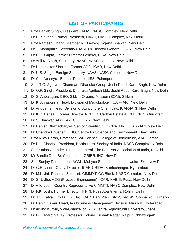# **LIST OF PARTICIPANTS**

- 1. Prof Panjab Singh, President, NAAS, NASC Complex, New Delhi
- 2. Dr R.B. Singh, Former President, NAAS, NASC Complex, New Delhi
- 3. Prof Ramesh Chand, Member NITI Aayog, Yojana Bhawan, New Delhi
- 4. Dr T. Mohapatra, Secretary (DARE) & Director General (ICAR), New Delhi
- 5. Dr H.S. Gupta, Former Director General, BISA, New Delhi
- 6. Dr Anil K. Singh, Secretary, NAAS, NASC Complex, New Delhi
- 7. Dr Kusumakar Sharma, Former ADG, ICAR, New Delhi
- 8. Dr U.S. Singh, Foreign Secretary, NAAS, NASC Complex, New Delhi
- 9. Dr C.L. Acharya , Former Director, IISS, Palampur
- 10. Shri R.G. Agrawal, Chairman, Dhanuka Group, Joshi Road, Karol Bagh, New Delhi
- 11. Dr O.P. Singh, President, Dhanuka Agritech Ltd., Joshi Road, Karol Bagh, New Delhi
- 12. Dr S. Anbalagan, CEO, Sikkim Organic Mission (SOM), Sikkim
- 13. Dr K. Annapurna, Head, Division of Microbiology, ICAR-IARI, New Delhi
- 14. Dr Anupama, Head, Division of Agriculture Chemicals, ICAR-IARI, New Delhi
- 15. Dr K.C. Bansal, Former Director, NBPGR, Carlton Estate 4, DLF Ph. 5, Gurugram
- 16. Dr S. Bhaskar, ADG (AAFCC), ICAR, New Delhi
- 17. Dr Ranjan Bhattacharyya, Senior Scientist, CESCRA, NRL, ICAR-IARI, New Delhi
- 18. Dr Chandra Bhushan, DDG, Centre for Science and Environment, New Delhi
- 19. Prof Nilay Borah, Professor, Soil Science, College of Horticulture, AAU, Jorhat
- 20. Dr K.L. Chadha, President, Horticultural Society of India, NASC Complex, N Delhi
- 21. Shri Satish Chander, Director General, The Fertiliser Association of India, N Delhi
- 22. Mr Sandip Das, Sr. Consultant, ICRIER, IHC, New Delhi
- 23. Shri Sanjay Deshpande , AGM , Mahyco Seeds Ltd., Jhandewalan Ext., New Delhi
- 24. Dr G.Ravindra Chary, Director, ICAR-CRIDA, Santoshnagar, Hyderabad
- 25. Dr M.L. Jat, Principal Scientist, CIMMYT, CG Block, NASC Complex, New Delhi
- 26. Dr S.N. Jha, ADG (Process Engineering), ICAR, KAB-II, Pusa, New Delhi
- 27. Dr A.K. Joshi, Country Representative CIMMYT, NASC Complex, New Delhi
- 28. Dr P.K. Joshi, Former Director, IFPRI, Pusa Apartments, Rohini, Delhi
- 29. Dr J.C. Katyal, Ex- DDG (Edn), ICAR, Park View City 2, Sec. 49, Sohna Rd, Gurgaon
- 30. Dr Ranjit Kumar, Head, Agribusiness Management Division, NAARM, Hyderabad
- 31. Dr Arvind Kumar, Vice-Chancellor, RLB Central Agricultural University, Jhansi
- 32. Dr D.K. Marothia, 19, Professor Colony, Krishak Nagar, Raipur, Chhattisgarh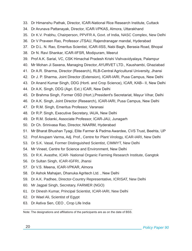- 33. Dr Himanshu Pathak, Director, ICAR-National Rice Research Institute, Cuttack
- 34. Dr Arunava Pattanayak, Director, ICAR-VPKAS, Almora, Uttarakhand
- 35. Dr K.V. Prabhu, Chairperson, PPVFR A, Govt. of India, NASC Complex, New Delhi
- 36. Dr V Praveen Rao, Professor JTSAU, Rajendranagar mandal, Hyderabad
- 37. Dr D.L. N. Rao, Emeritus Scientist, ICAR-IISS, Nabi Bagh, Berasia Road, Bhopal
- 38. Dr N. Ravi Shankar, ICAR-IIFSR, Modipuram, Meerut
- 39. Prof A.K. Sarial, VC, CSK Himachal Pradesh Krishi Vishvavidyalaya, Palampur
- 40. Mr Mohan Ji Saxena, Managing Director, AYURVET LTD., Kaushambi, Ghaziabad
- 41. Dr A.R. Sharma, Director (Research), RLB-Central Agricultural University, Jhansi
- 42. Dr J. P. Sharma, Joint Director (Extension), ICAR-IARI, Pusa Campus, New Delhi
- 43. Dr Anand Kumar Singh, DDG (Horti. and Crop Science), ICAR, KAB– II, New Delhi
- 44. Dr A.K. Singh, DDG (Agri. Ext.) ICAR, New Delhi
- 45. Dr Brahma Singh, Former OSD (Hort.),President's Secretariat, Mayur Vihar, Delhi
- 46. Dr A.K. Singh, Joint Director (Research), ICAR-IARI, Pusa Campus, New Delhi
- 47. Dr R.M. Singh, Emeritus Professor, Varanasi
- 48. Dr R.P. Singh, Executive Secretary, IAUA, New Delhi
- 49. Dr R.M. Solanki, Associate Professor, ICAR-JAU, Junagarh
- 50. Dr Ch. Srinivasa Rao, Director, NAARM, Hyderabad
- 51. Mr Bharat Bhushan Tyagi, Elite Farmer & Padma Awardee, CVS Trust, Beehta, UP
- 52. Prof Anupam Varma, Adj. Prof., Centre for Plant Virology, ICAR-IARI, New Delhi
- 53. Dr S.K. Vasal, Former Distinguished Scientist, CIMMYT, New Delhi
- 54. Mr Vineet, Centre for Science and Environment, New Delhi
- 55. Dr R.K. Avasthe, ICAR- National Organic Farming Research Institute, Gangtok
- 56. Dr Sultan Singh, ICAR-IGFRI, Jhansi
- 57. Dr V.S. Meena, ICAR-VPKAR, Almora
- 58. Dr Ashok Mahajan, Dhanuka Agritech Ltd. , New Delhi
- 59. Dr A.K. Padhee, Director-Country Representative, ICRISAT, New Delhi
- 60. Mr Jagpal Singh, Secretary, FARMER (NGO)
- 61. Dr Dinesh Kumar, Principal Scientist, ICAR-IARI, New Delhi
- 62. Dr Wael Ali, Scientist of Egypt
- 63. Dr Astiva Sen, CEO , Crop Life India

Note: The designations and affiliations of the participants are as on the date of BSS.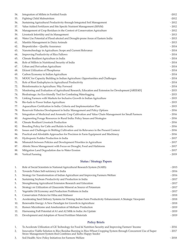| 54. | Integration of Millets in Fortifed Foods                                                             | $-2012$ |
|-----|------------------------------------------------------------------------------------------------------|---------|
| 55. | Fighting Child Malnutrition                                                                          | $-2012$ |
| 56. | Sustaining Agricultural Productivity through Integrated Soil Management                              | $-2012$ |
| 57. | Value Added Fertilizers and Site Specifc Nutrient Management (SSNM)                                  | $-2012$ |
| 58. | Management of Crop Residues in the Context of Conservation Agriculture                               | $-2012$ |
| 59. | Livestock Infertility and its Management                                                             | $-2013$ |
| 60. | Water Use Potential of Flood-afected and Drought-prone Areas of Eastern India                        | $-2013$ |
| 61. | Mastitis Management in Dairy Animals                                                                 | $-2013$ |
| 62. | Biopesticides - Quality Assurance                                                                    | $-2014$ |
| 63. | Nanotechnology in Agriculture: Scope and Current Relevance                                           | $-2014$ |
| 64. | Improving Productivity of Rice Fallows                                                               | $-2014$ |
| 65. | Climate Resilient Agriculture in India                                                               | $-2014$ |
| 66. | Role of Millets in Nutritional Security of India                                                     | $-2014$ |
| 67. | Urban and Peri-urban Agriculture                                                                     | $-2014$ |
| 68. | Efcient Utilization of Phosphorus                                                                    | $-2014$ |
| 69. | Carbon Economy in Indian Agriculture                                                                 | $-2014$ |
| 70. | MOOC for Capacity Building in Indian Agriculture: Opportunities and Challenges                       | $-2014$ |
| 71. | Role of Root Endophytes in Agricultural Productivity                                                 | $-2014$ |
| 72. | Bioinformatics in Agriculture: Way Forward                                                           | $-2014$ |
| 73. | Monitoring and Evaluation of Agricultural Research, Education and Extension for Development [AREE4D] | $-2015$ |
| 74. | Biodrainage: An Eco-friendly Tool for Combating Waterlogging                                         | $-2015$ |
| 75. | Linking Farmers with Markets for Inclusive Growth in Indian Agriculture                              | $-2015$ |
| 76  | Bio-fuels to Power Indian Agriculture                                                                | $-2015$ |
| 77. | Aquaculture Certifcation in India: Criteria and Implementation Plan                                  | $-2015$ |
| 78. | Reservoir Fisheries Development in India: Management and Policy Options                              | $-2016$ |
| 79. | Integration of Medicinal and Aromatic Crop Cultivation and Value Chain Management for Small Farmers  | $-2016$ |
| 80. | Augmenting Forage Resources in Rural India: Policy Issues and Strategies                             | $-2016$ |
| 81. | Climate Resilient Livestock Production                                                               | $-2016$ |
| 82. | Breeding Policy for Catle and Bufalo in India                                                        | $-2016$ |
| 83. | Issues and Challenges in Shifting Cultivation and its Relevance in the Present Context               | $-2016$ |
| 84. | Practical and Afordable Approaches for Precision in Farm Equipment and Machinery                     | $-2016$ |
| 85. | Hydroponic Fodder Production in India                                                                | $-2017$ |
| 86. | Mismatch between Policies and Development Priorities in Agriculture                                  | $-2017$ |
| 87. | Abiotic Stress Management with Focus on Drought, Food and Hailstorm                                  | $-2017$ |
| 88. | Mitigation Land Degradation due to Water Erosion                                                     | $-2017$ |
| 89. | Vertical Farming                                                                                     | $-2019$ |

## **Status / Strategy Papers**

| 1.  | Role of Social Scientists in National Agricultural Research System (NARS)                                  | $-2015$ |
|-----|------------------------------------------------------------------------------------------------------------|---------|
| 2.  | Towards Pulses Self-sufciency in India                                                                     | $-2016$ |
| 3.  | Strategy for Transformation of Indian Agriculture and Improving Farmers Welfare                            | $-2016$ |
| 4.  | Sustaining Soybean Productivity and Production in India                                                    | $-2017$ |
| 5.  | Strengthening Agricultural Extension Research and Education                                                | $-2017$ |
| 6.  | Strategy on Utilization of Glauconite Mineral as Source of Potassium                                       | $-2017$ |
| 7.  | Vegetable Oil Economy and Production Problems in India                                                     | $-2017$ |
| 8.  | Conservation Policies for Hilsa and Mahseer                                                                | $-2018$ |
| 9.  | Accelerating Seed Delivery Systems for Priming Indian Farm Productivity Enhancement: A Strategic Viewpoint | $-2018$ |
| 10. | Renewable Energy: A New Paradigm for Growth in Agriculture                                                 | $-2018$ |
| 11. | Rumen Microbiome and Amelioration of Methane Production                                                    | $-2019$ |
| 12. | Harnessing Full Potential of A1 and A2 Milk in India: An Update                                            | $-2019$ |
| 13. | Development and Adoption of Novel Fertilizer Materials                                                     | $-2019$ |

### **Policy Briefs**

| To Accelerate Utilization of GE Technology for Food & Nutrition Security and Improving Farmers' Income                                                                           | $-2016$ |
|----------------------------------------------------------------------------------------------------------------------------------------------------------------------------------|---------|
| Innovative Viable Solution to Rice Residue Burning in Rice-Wheat Cropping System through Concurrent Use of Super<br>Straw Management System-fted Combines and Turbo Happy Seeder | $-2017$ |
| Soil Health: New Policy Initiatives for Farmers Welfare                                                                                                                          | $-2018$ |